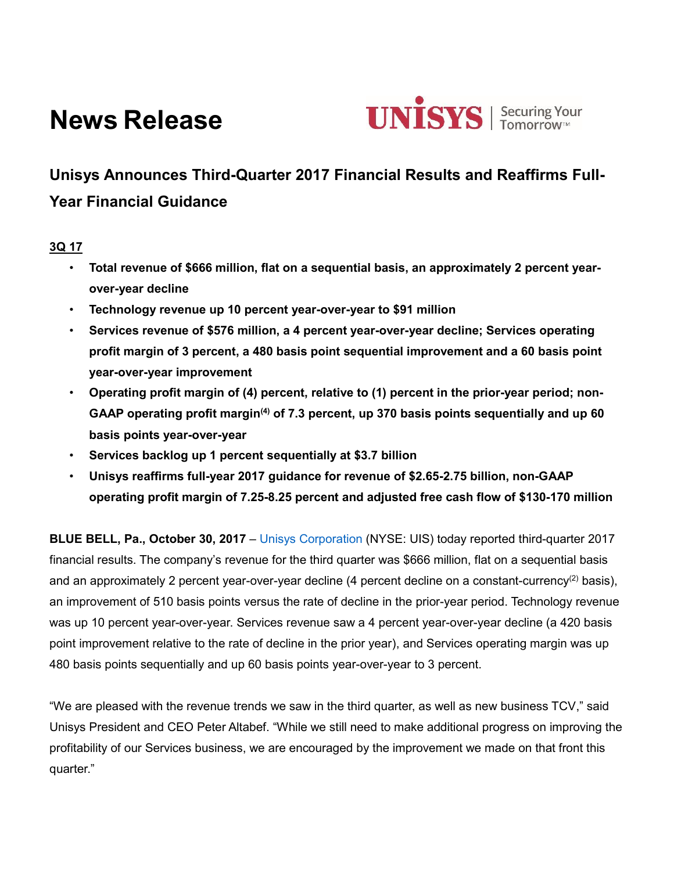# **News Release**



## **Unisys Announces Third-Quarter 2017 Financial Results and Reaffirms Full-Year Financial Guidance**

## **3Q 17**

- **Total revenue of \$666 million, flat on a sequential basis, an approximately 2 percent yearover-year decline**
- **Technology revenue up 10 percent year-over-year to \$91 million**
- **Services revenue of \$576 million, a 4 percent year-over-year decline; Services operating profit margin of 3 percent, a 480 basis point sequential improvement and a 60 basis point year-over-year improvement**
- **Operating profit margin of (4) percent, relative to (1) percent in the prior-year period; non-GAAP operating profit margin(4) of 7.3 percent, up 370 basis points sequentially and up 60 basis points year-over-year**
- **Services backlog up 1 percent sequentially at \$3.7 billion**
- **Unisys reaffirms full-year 2017 guidance for revenue of \$2.65-2.75 billion, non-GAAP operating profit margin of 7.25-8.25 percent and adjusted free cash flow of \$130-170 million**

**BLUE BELL, Pa., October 30, 2017** – [Unisys Corporation](http://www.unisys.com/) (NYSE: UIS) today reported third-quarter 2017 financial results. The company's revenue for the third quarter was \$666 million, flat on a sequential basis and an approximately 2 percent year-over-year decline (4 percent decline on a constant-currency<sup>(2)</sup> basis), an improvement of 510 basis points versus the rate of decline in the prior-year period. Technology revenue was up 10 percent year-over-year. Services revenue saw a 4 percent year-over-year decline (a 420 basis point improvement relative to the rate of decline in the prior year), and Services operating margin was up 480 basis points sequentially and up 60 basis points year-over-year to 3 percent.

"We are pleased with the revenue trends we saw in the third quarter, as well as new business TCV," said Unisys President and CEO Peter Altabef. "While we still need to make additional progress on improving the profitability of our Services business, we are encouraged by the improvement we made on that front this quarter."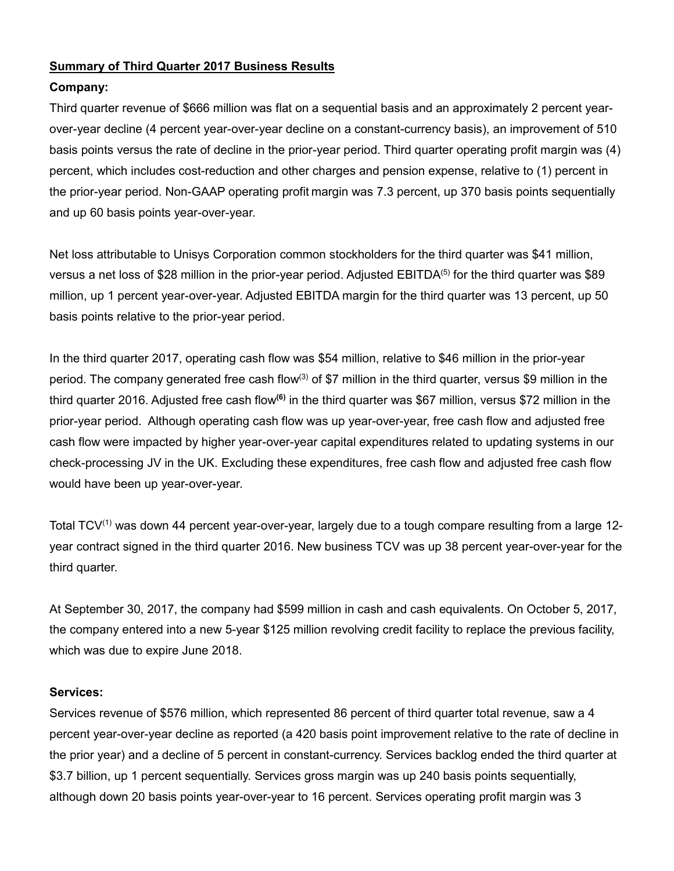## **Summary of Third Quarter 2017 Business Results**

## **Company:**

Third quarter revenue of \$666 million was flat on a sequential basis and an approximately 2 percent yearover-year decline (4 percent year-over-year decline on a constant-currency basis), an improvement of 510 basis points versus the rate of decline in the prior-year period. Third quarter operating profit margin was (4) percent, which includes cost-reduction and other charges and pension expense, relative to (1) percent in the prior-year period. Non-GAAP operating profit margin was 7.3 percent, up 370 basis points sequentially and up 60 basis points year-over-year.

Net loss attributable to Unisys Corporation common stockholders for the third quarter was \$41 million, versus a net loss of \$28 million in the prior-year period. Adjusted EBITDA<sup>(5)</sup> for the third quarter was \$89 million, up 1 percent year-over-year. Adjusted EBITDA margin for the third quarter was 13 percent, up 50 basis points relative to the prior-year period.

In the third quarter 2017, operating cash flow was \$54 million, relative to \$46 million in the prior-year period. The company generated free cash flow<sup>(3)</sup> of \$7 million in the third quarter, versus \$9 million in the third quarter 2016. Adjusted free cash flow<sup>(6)</sup> in the third quarter was \$67 million, versus \$72 million in the prior-year period. Although operating cash flow was up year-over-year, free cash flow and adjusted free cash flow were impacted by higher year-over-year capital expenditures related to updating systems in our check-processing JV in the UK. Excluding these expenditures, free cash flow and adjusted free cash flow would have been up year-over-year.

Total TCV<sup>(1)</sup> was down 44 percent year-over-year, largely due to a tough compare resulting from a large 12year contract signed in the third quarter 2016. New business TCV was up 38 percent year-over-year for the third quarter.

At September 30, 2017, the company had \$599 million in cash and cash equivalents. On October 5, 2017, the company entered into a new 5-year \$125 million revolving credit facility to replace the previous facility, which was due to expire June 2018.

## **Services:**

Services revenue of \$576 million, which represented 86 percent of third quarter total revenue, saw a 4 percent year-over-year decline as reported (a 420 basis point improvement relative to the rate of decline in the prior year) and a decline of 5 percent in constant-currency. Services backlog ended the third quarter at \$3.7 billion, up 1 percent sequentially. Services gross margin was up 240 basis points sequentially, although down 20 basis points year-over-year to 16 percent. Services operating profit margin was 3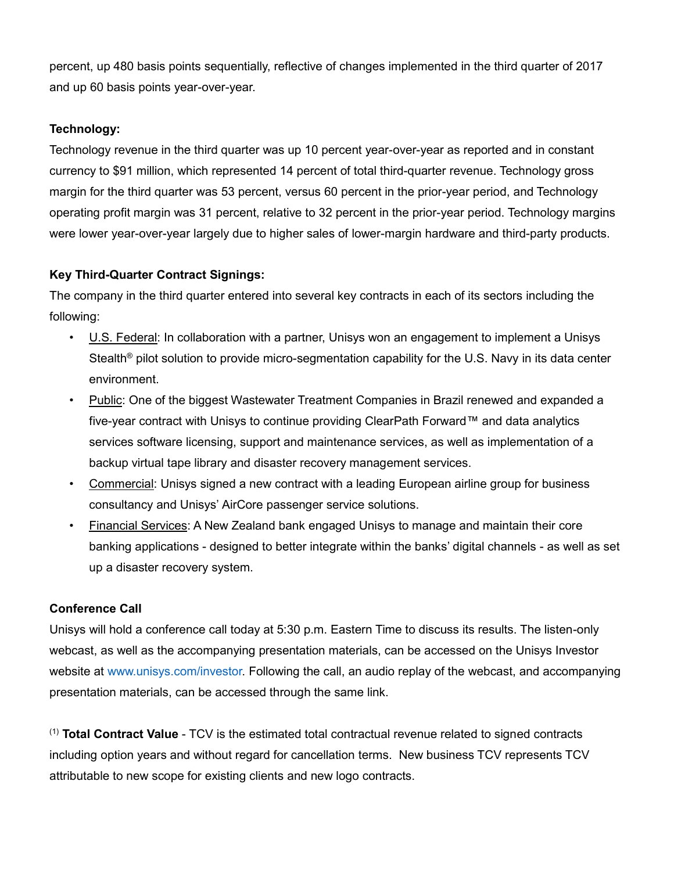percent, up 480 basis points sequentially, reflective of changes implemented in the third quarter of 2017 and up 60 basis points year-over-year.

## **Technology:**

Technology revenue in the third quarter was up 10 percent year-over-year as reported and in constant currency to \$91 million, which represented 14 percent of total third-quarter revenue. Technology gross margin for the third quarter was 53 percent, versus 60 percent in the prior-year period, and Technology operating profit margin was 31 percent, relative to 32 percent in the prior-year period. Technology margins were lower year-over-year largely due to higher sales of lower-margin hardware and third-party products.

## **Key Third-Quarter Contract Signings:**

The company in the third quarter entered into several key contracts in each of its sectors including the following:

- U.S. Federal: In collaboration with a partner, Unisys won an engagement to implement a Unisys Stealth® pilot solution to provide micro-segmentation capability for the U.S. Navy in its data center environment.
- Public: One of the biggest Wastewater Treatment Companies in Brazil renewed and expanded a five-year contract with Unisys to continue providing ClearPath Forward™ and data analytics services software licensing, support and maintenance services, as well as implementation of a backup virtual tape library and disaster recovery management services.
- Commercial: Unisys signed a new contract with a leading European airline group for business consultancy and Unisys' AirCore passenger service solutions.
- Financial Services: A New Zealand bank engaged Unisys to manage and maintain their core banking applications - designed to better integrate within the banks' digital channels - as well as set up a disaster recovery system.

## **Conference Call**

Unisys will hold a conference call today at 5:30 p.m. Eastern Time to discuss its results. The listen-only webcast, as well as the accompanying presentation materials, can be accessed on the Unisys Investor website at [www.unisys.com/investor.](http://www.unisys.com/investor) Following the call, an audio replay of the webcast, and accompanying presentation materials, can be accessed through the same link.

(1) **Total Contract Value** - TCV is the estimated total contractual revenue related to signed contracts including option years and without regard for cancellation terms. New business TCV represents TCV attributable to new scope for existing clients and new logo contracts.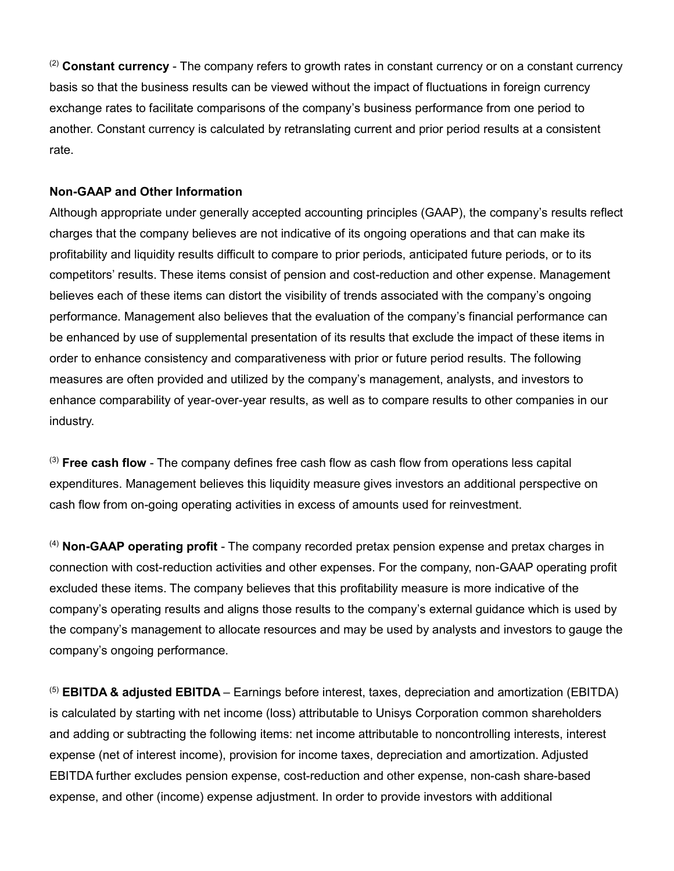(2) **Constant currency** - The company refers to growth rates in constant currency or on a constant currency basis so that the business results can be viewed without the impact of fluctuations in foreign currency exchange rates to facilitate comparisons of the company's business performance from one period to another. Constant currency is calculated by retranslating current and prior period results at a consistent rate.

#### **Non-GAAP and Other Information**

Although appropriate under generally accepted accounting principles (GAAP), the company's results reflect charges that the company believes are not indicative of its ongoing operations and that can make its profitability and liquidity results difficult to compare to prior periods, anticipated future periods, or to its competitors' results. These items consist of pension and cost-reduction and other expense. Management believes each of these items can distort the visibility of trends associated with the company's ongoing performance. Management also believes that the evaluation of the company's financial performance can be enhanced by use of supplemental presentation of its results that exclude the impact of these items in order to enhance consistency and comparativeness with prior or future period results. The following measures are often provided and utilized by the company's management, analysts, and investors to enhance comparability of year-over-year results, as well as to compare results to other companies in our industry.

(3) **Free cash flow** - The company defines free cash flow as cash flow from operations less capital expenditures. Management believes this liquidity measure gives investors an additional perspective on cash flow from on-going operating activities in excess of amounts used for reinvestment.

(4) **Non-GAAP operating profit** - The company recorded pretax pension expense and pretax charges in connection with cost-reduction activities and other expenses. For the company, non-GAAP operating profit excluded these items. The company believes that this profitability measure is more indicative of the company's operating results and aligns those results to the company's external guidance which is used by the company's management to allocate resources and may be used by analysts and investors to gauge the company's ongoing performance.

(5) **EBITDA & adjusted EBITDA** – Earnings before interest, taxes, depreciation and amortization (EBITDA) is calculated by starting with net income (loss) attributable to Unisys Corporation common shareholders and adding or subtracting the following items: net income attributable to noncontrolling interests, interest expense (net of interest income), provision for income taxes, depreciation and amortization. Adjusted EBITDA further excludes pension expense, cost-reduction and other expense, non-cash share-based expense, and other (income) expense adjustment. In order to provide investors with additional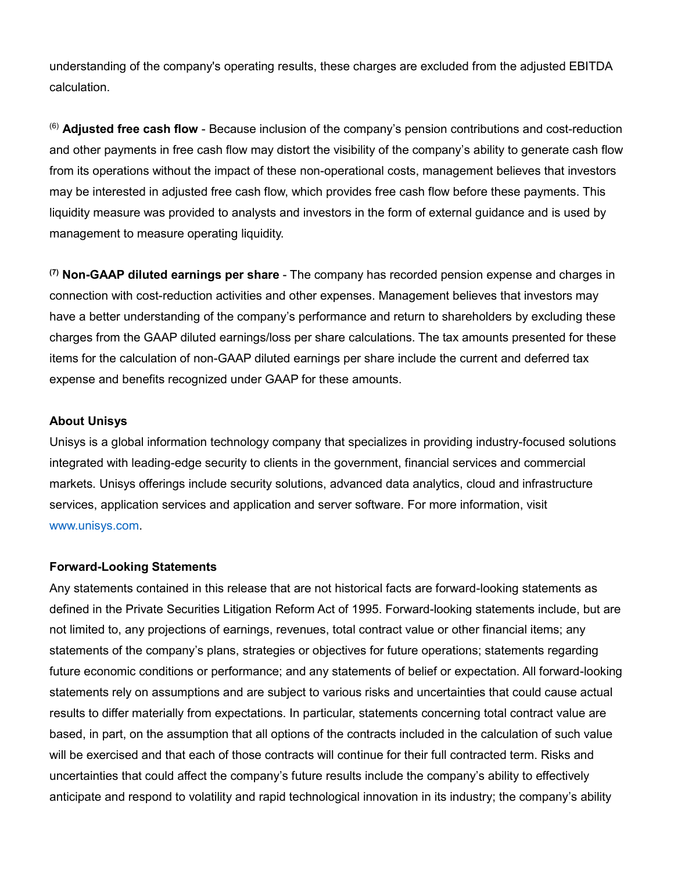understanding of the company's operating results, these charges are excluded from the adjusted EBITDA calculation.

(6) **Adjusted free cash flow** - Because inclusion of the company's pension contributions and cost-reduction and other payments in free cash flow may distort the visibility of the company's ability to generate cash flow from its operations without the impact of these non-operational costs, management believes that investors may be interested in adjusted free cash flow, which provides free cash flow before these payments. This liquidity measure was provided to analysts and investors in the form of external guidance and is used by management to measure operating liquidity.

**(7) Non-GAAP diluted earnings per share** - The company has recorded pension expense and charges in connection with cost-reduction activities and other expenses. Management believes that investors may have a better understanding of the company's performance and return to shareholders by excluding these charges from the GAAP diluted earnings/loss per share calculations. The tax amounts presented for these items for the calculation of non-GAAP diluted earnings per share include the current and deferred tax expense and benefits recognized under GAAP for these amounts.

#### **About Unisys**

Unisys is a global information technology company that specializes in providing industry-focused solutions integrated with leading-edge security to clients in the government, financial services and commercial markets. Unisys offerings include security solutions, advanced data analytics, cloud and infrastructure services, application services and application and server software. For more information, visit [www.unisys.com.](http://www.unisys.com/)

#### **Forward-Looking Statements**

Any statements contained in this release that are not historical facts are forward-looking statements as defined in the Private Securities Litigation Reform Act of 1995. Forward-looking statements include, but are not limited to, any projections of earnings, revenues, total contract value or other financial items; any statements of the company's plans, strategies or objectives for future operations; statements regarding future economic conditions or performance; and any statements of belief or expectation. All forward-looking statements rely on assumptions and are subject to various risks and uncertainties that could cause actual results to differ materially from expectations. In particular, statements concerning total contract value are based, in part, on the assumption that all options of the contracts included in the calculation of such value will be exercised and that each of those contracts will continue for their full contracted term. Risks and uncertainties that could affect the company's future results include the company's ability to effectively anticipate and respond to volatility and rapid technological innovation in its industry; the company's ability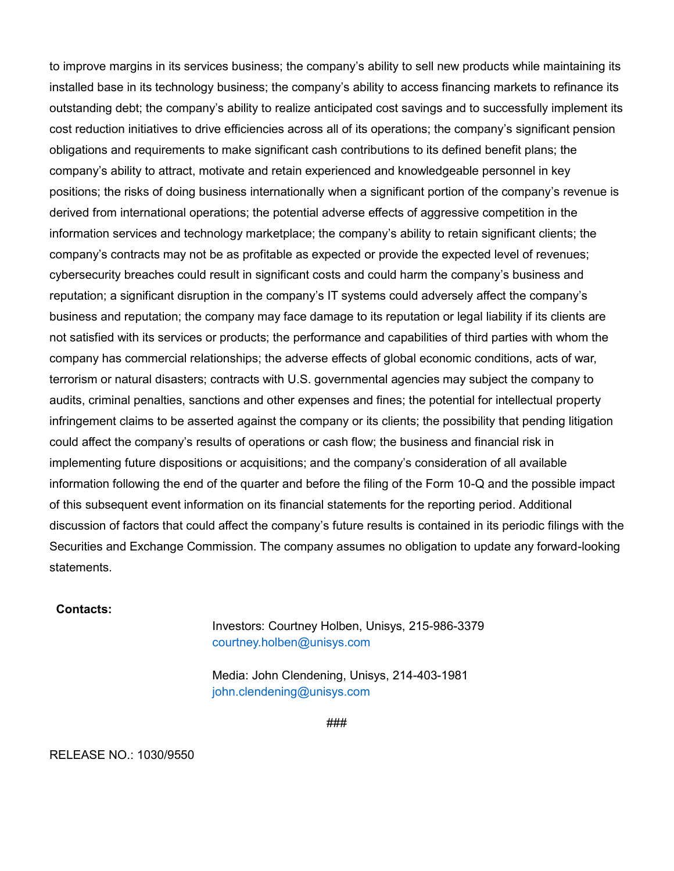to improve margins in its services business; the company's ability to sell new products while maintaining its installed base in its technology business; the company's ability to access financing markets to refinance its outstanding debt; the company's ability to realize anticipated cost savings and to successfully implement its cost reduction initiatives to drive efficiencies across all of its operations; the company's significant pension obligations and requirements to make significant cash contributions to its defined benefit plans; the company's ability to attract, motivate and retain experienced and knowledgeable personnel in key positions; the risks of doing business internationally when a significant portion of the company's revenue is derived from international operations; the potential adverse effects of aggressive competition in the information services and technology marketplace; the company's ability to retain significant clients; the company's contracts may not be as profitable as expected or provide the expected level of revenues; cybersecurity breaches could result in significant costs and could harm the company's business and reputation; a significant disruption in the company's IT systems could adversely affect the company's business and reputation; the company may face damage to its reputation or legal liability if its clients are not satisfied with its services or products; the performance and capabilities of third parties with whom the company has commercial relationships; the adverse effects of global economic conditions, acts of war, terrorism or natural disasters; contracts with U.S. governmental agencies may subject the company to audits, criminal penalties, sanctions and other expenses and fines; the potential for intellectual property infringement claims to be asserted against the company or its clients; the possibility that pending litigation could affect the company's results of operations or cash flow; the business and financial risk in implementing future dispositions or acquisitions; and the company's consideration of all available information following the end of the quarter and before the filing of the Form 10-Q and the possible impact of this subsequent event information on its financial statements for the reporting period. Additional discussion of factors that could affect the company's future results is contained in its periodic filings with the Securities and Exchange Commission. The company assumes no obligation to update any forward-looking statements.

#### **Contacts:**

Investors: Courtney Holben, Unisys, 215-986-3379 [courtney.holben@unisys.com](mailto:courtney.holben@unisys.com)

Media: John Clendening, Unisys, 214-403-1981 [john.clendening@unisys.com](mailto:john.clendening@unisys.com)

###

RELEASE NO.: 1030/9550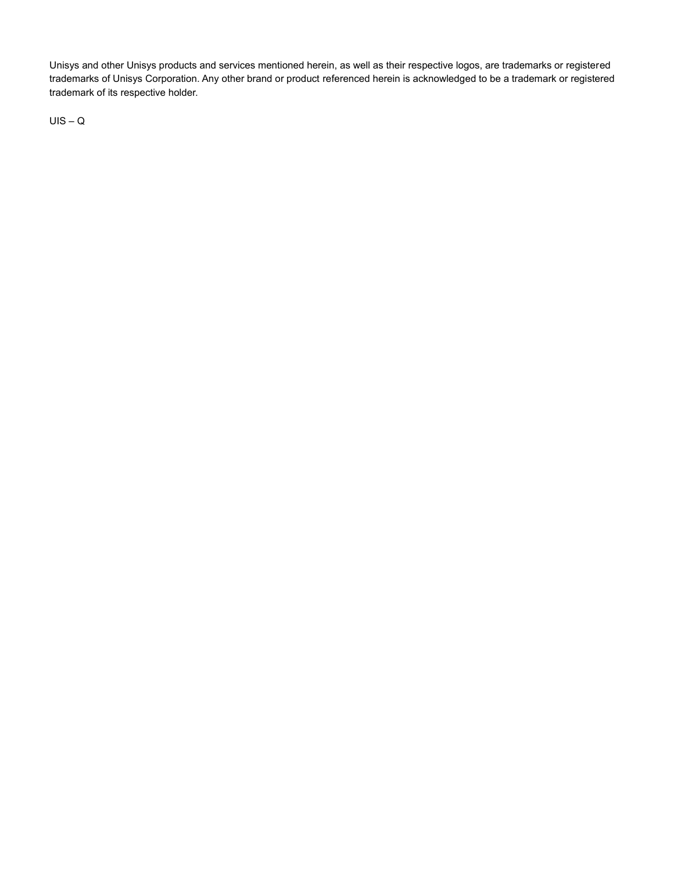Unisys and other Unisys products and services mentioned herein, as well as their respective logos, are trademarks or registered trademarks of Unisys Corporation. Any other brand or product referenced herein is acknowledged to be a trademark or registered trademark of its respective holder.

UIS – Q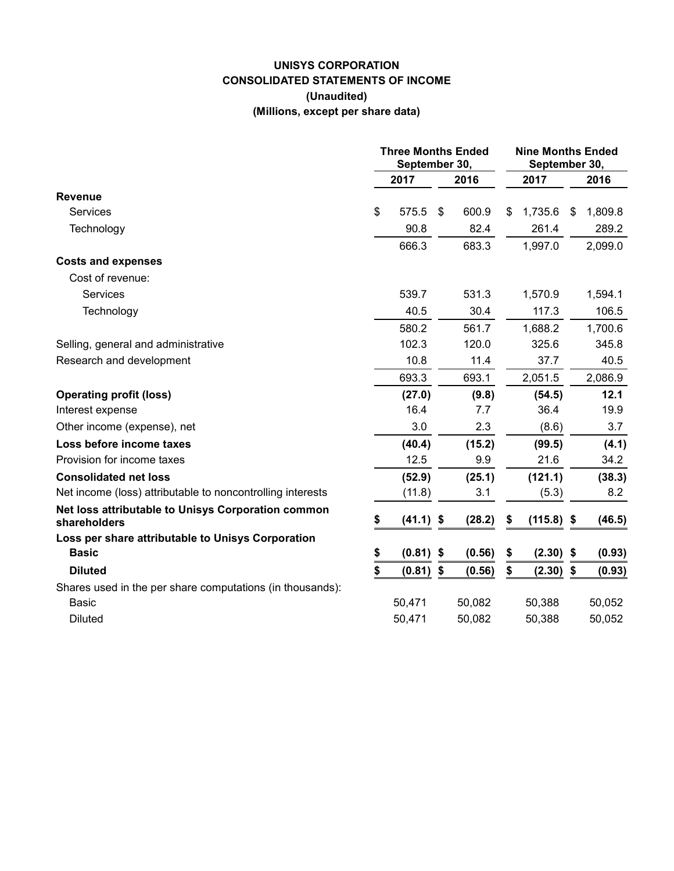## **UNISYS CORPORATION CONSOLIDATED STATEMENTS OF INCOME (Unaudited) (Millions, except per share data)**

|                                                                    | <b>Three Months Ended</b><br>September 30, |             |    |        | <b>Nine Months Ended</b><br>September 30, |              |   |         |
|--------------------------------------------------------------------|--------------------------------------------|-------------|----|--------|-------------------------------------------|--------------|---|---------|
|                                                                    |                                            | 2017        |    | 2016   |                                           | 2017         |   | 2016    |
| <b>Revenue</b>                                                     |                                            |             |    |        |                                           |              |   |         |
| <b>Services</b>                                                    | \$                                         | 575.5       | \$ | 600.9  | \$.                                       | 1,735.6      | S | 1,809.8 |
| Technology                                                         |                                            | 90.8        |    | 82.4   |                                           | 261.4        |   | 289.2   |
|                                                                    |                                            | 666.3       |    | 683.3  |                                           | 1,997.0      |   | 2,099.0 |
| <b>Costs and expenses</b>                                          |                                            |             |    |        |                                           |              |   |         |
| Cost of revenue:                                                   |                                            |             |    |        |                                           |              |   |         |
| Services                                                           |                                            | 539.7       |    | 531.3  |                                           | 1,570.9      |   | 1,594.1 |
| Technology                                                         |                                            | 40.5        |    | 30.4   |                                           | 117.3        |   | 106.5   |
|                                                                    |                                            | 580.2       |    | 561.7  |                                           | 1,688.2      |   | 1,700.6 |
| Selling, general and administrative                                |                                            | 102.3       |    | 120.0  |                                           | 325.6        |   | 345.8   |
| Research and development                                           |                                            | 10.8        |    | 11.4   |                                           | 37.7         |   | 40.5    |
|                                                                    |                                            | 693.3       |    | 693.1  |                                           | 2,051.5      |   | 2,086.9 |
| <b>Operating profit (loss)</b>                                     |                                            | (27.0)      |    | (9.8)  |                                           | (54.5)       |   | 12.1    |
| Interest expense                                                   |                                            | 16.4        |    | 7.7    |                                           | 36.4         |   | 19.9    |
| Other income (expense), net                                        |                                            | 3.0         |    | 2.3    |                                           | (8.6)        |   | 3.7     |
| Loss before income taxes                                           |                                            | (40.4)      |    | (15.2) |                                           | (99.5)       |   | (4.1)   |
| Provision for income taxes                                         |                                            | 12.5        |    | 9.9    |                                           | 21.6         |   | 34.2    |
| <b>Consolidated net loss</b>                                       |                                            | (52.9)      |    | (25.1) |                                           | (121.1)      |   | (38.3)  |
| Net income (loss) attributable to noncontrolling interests         |                                            | (11.8)      |    | 3.1    |                                           | (5.3)        |   | 8.2     |
| Net loss attributable to Unisys Corporation common<br>shareholders | S                                          | $(41.1)$ \$ |    | (28.2) | \$                                        | $(115.8)$ \$ |   | (46.5)  |
| Loss per share attributable to Unisys Corporation                  |                                            |             |    |        |                                           |              |   |         |
| <b>Basic</b>                                                       | \$                                         | $(0.81)$ \$ |    | (0.56) | \$                                        | $(2.30)$ \$  |   | (0.93)  |
| <b>Diluted</b>                                                     | \$                                         | $(0.81)$ \$ |    | (0.56) | \$                                        | $(2.30)$ \$  |   | (0.93)  |
| Shares used in the per share computations (in thousands):          |                                            |             |    |        |                                           |              |   |         |
| Basic                                                              |                                            | 50,471      |    | 50,082 |                                           | 50,388       |   | 50,052  |
| <b>Diluted</b>                                                     |                                            | 50,471      |    | 50,082 |                                           | 50,388       |   | 50,052  |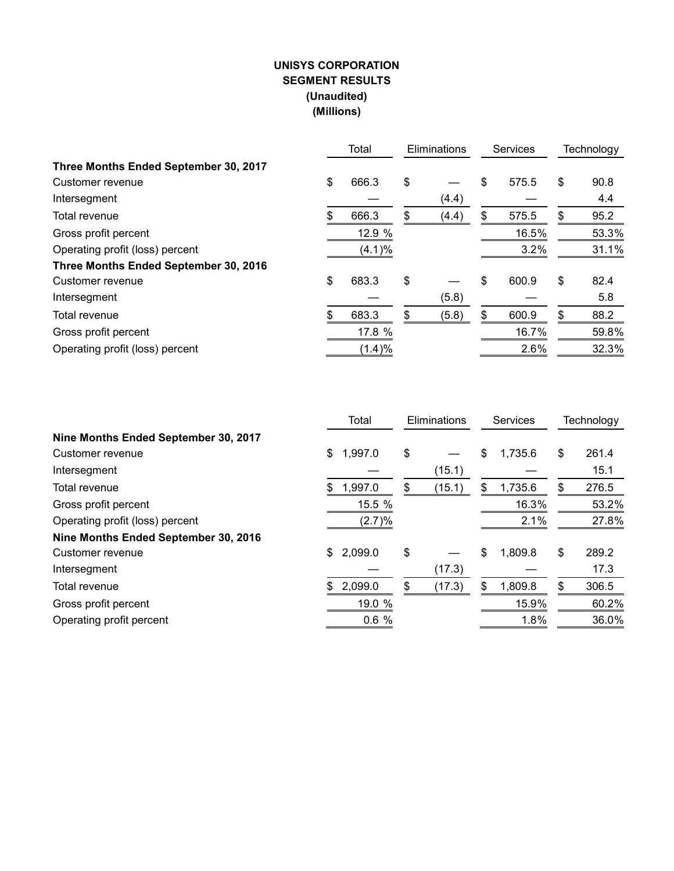## **UNISYS CORPORATION SEGMENT RESULTS (Unaudited) (Millions)**

|                                       |    | Total  | Eliminations |    | Services |    | Technology |  |
|---------------------------------------|----|--------|--------------|----|----------|----|------------|--|
| Three Months Ended September 30, 2017 |    |        |              |    |          |    |            |  |
| Customer revenue                      | \$ | 666.3  | \$           | \$ | 575.5    | \$ | 90.8       |  |
| Intersegment                          |    |        | (4.4)        |    |          |    | 4.4        |  |
| Total revenue                         | S. | 666.3  | \$<br>(4.4)  | \$ | 575.5    | \$ | 95.2       |  |
| Gross profit percent                  |    | 12.9 % |              |    | 16.5%    |    | 53.3%      |  |
| Operating profit (loss) percent       |    | (4.1)% |              |    | 3.2%     |    | 31.1%      |  |
| Three Months Ended September 30, 2016 |    |        |              |    |          |    |            |  |
| Customer revenue                      | \$ | 683.3  | \$           | \$ | 600.9    | \$ | 82.4       |  |
| Intersegment                          |    |        | (5.8)        |    |          |    | 5.8        |  |
| Total revenue                         | \$ | 683.3  | \$<br>(5.8)  | \$ | 600.9    | \$ | 88.2       |  |
| Gross profit percent                  |    | 17.8 % |              |    | 16.7%    |    | 59.8%      |  |
| Operating profit (loss) percent       |    | (1.4)% |              |    | 2.6%     |    | 32.3%      |  |

|                                      | Total         | Eliminations |        | Services |         | Technology  |
|--------------------------------------|---------------|--------------|--------|----------|---------|-------------|
| Nine Months Ended September 30, 2017 |               |              |        |          |         |             |
| Customer revenue                     | \$<br>1,997.0 | \$           |        | \$       | 1,735.6 | \$<br>261.4 |
| Intersegment                         |               |              | (15.1) |          |         | 15.1        |
| Total revenue                        | \$<br>1,997.0 | \$           | (15.1) | \$       | 1,735.6 | \$<br>276.5 |
| Gross profit percent                 | 15.5 %        |              |        |          | 16.3%   | 53.2%       |
| Operating profit (loss) percent      | (2.7)%        |              |        |          | 2.1%    | 27.8%       |
| Nine Months Ended September 30, 2016 |               |              |        |          |         |             |
| Customer revenue                     | \$<br>2,099.0 | \$           |        | \$       | 1,809.8 | \$<br>289.2 |
| Intersegment                         |               |              | (17.3) |          |         | 17.3        |
| Total revenue                        | \$<br>2,099.0 | \$           | (17.3) | \$       | 1,809.8 | \$<br>306.5 |
| Gross profit percent                 | 19.0 %        |              |        |          | 15.9%   | 60.2%       |
| Operating profit percent             | 0.6%          |              |        |          | 1.8%    | 36.0%       |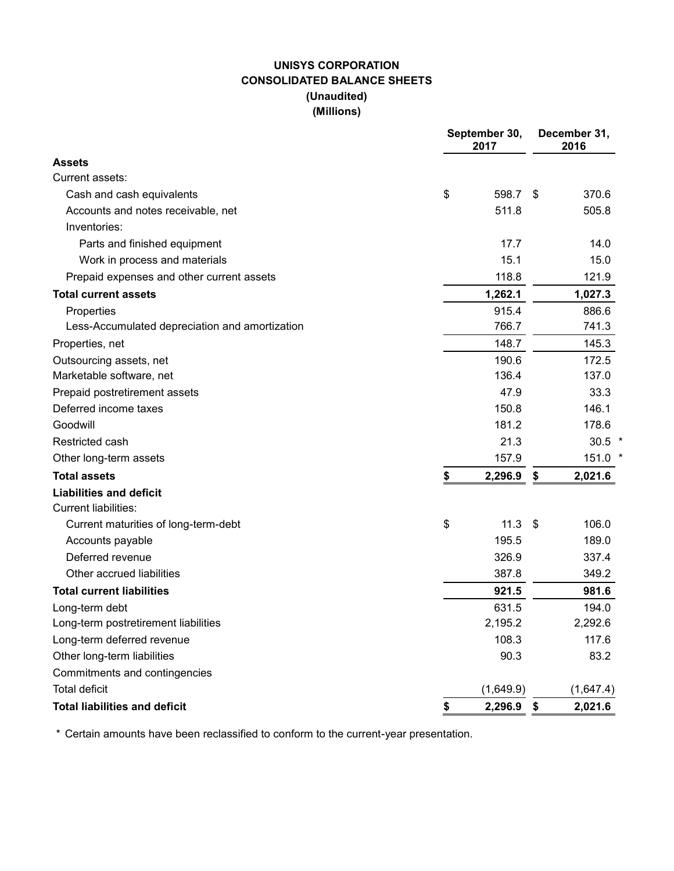## **UNISYS CORPORATION CONSOLIDATED BALANCE SHEETS (Unaudited) (Millions)**

|                                                | September 30,<br>2017 |     | December 31,<br>2016 |
|------------------------------------------------|-----------------------|-----|----------------------|
| <b>Assets</b>                                  |                       |     |                      |
| Current assets:                                |                       |     |                      |
| Cash and cash equivalents                      | \$<br>598.7           | \$  | 370.6                |
| Accounts and notes receivable, net             | 511.8                 |     | 505.8                |
| Inventories:                                   |                       |     |                      |
| Parts and finished equipment                   | 17.7                  |     | 14.0                 |
| Work in process and materials                  | 15.1                  |     | 15.0                 |
| Prepaid expenses and other current assets      | 118.8                 |     | 121.9                |
| <b>Total current assets</b>                    | 1,262.1               |     | 1,027.3              |
| Properties                                     | 915.4                 |     | 886.6                |
| Less-Accumulated depreciation and amortization | 766.7                 |     | 741.3                |
| Properties, net                                | 148.7                 |     | 145.3                |
| Outsourcing assets, net                        | 190.6                 |     | 172.5                |
| Marketable software, net                       | 136.4                 |     | 137.0                |
| Prepaid postretirement assets                  | 47.9                  |     | 33.3                 |
| Deferred income taxes                          | 150.8                 |     | 146.1                |
| Goodwill                                       | 181.2                 |     | 178.6                |
| Restricted cash                                | 21.3                  |     | $30.5$ *             |
| Other long-term assets                         | 157.9                 |     | 151.0 *              |
| <b>Total assets</b>                            | \$<br>2,296.9         | \$  | 2,021.6              |
| <b>Liabilities and deficit</b>                 |                       |     |                      |
| <b>Current liabilities:</b>                    |                       |     |                      |
| Current maturities of long-term-debt           | \$<br>11.3            | -\$ | 106.0                |
| Accounts payable                               | 195.5                 |     | 189.0                |
| Deferred revenue                               | 326.9                 |     | 337.4                |
| Other accrued liabilities                      | 387.8                 |     | 349.2                |
| <b>Total current liabilities</b>               | 921.5                 |     | 981.6                |
| Long-term debt                                 | 631.5                 |     | 194.0                |
| Long-term postretirement liabilities           | 2,195.2               |     | 2,292.6              |
| Long-term deferred revenue                     | 108.3                 |     | 117.6                |
| Other long-term liabilities                    | 90.3                  |     | 83.2                 |
| Commitments and contingencies                  |                       |     |                      |
| <b>Total deficit</b>                           | (1,649.9)             |     | (1,647.4)            |
| <b>Total liabilities and deficit</b>           | \$<br>$2,296.9$ \$    |     | 2,021.6              |

\* Certain amounts have been reclassified to conform to the current-year presentation.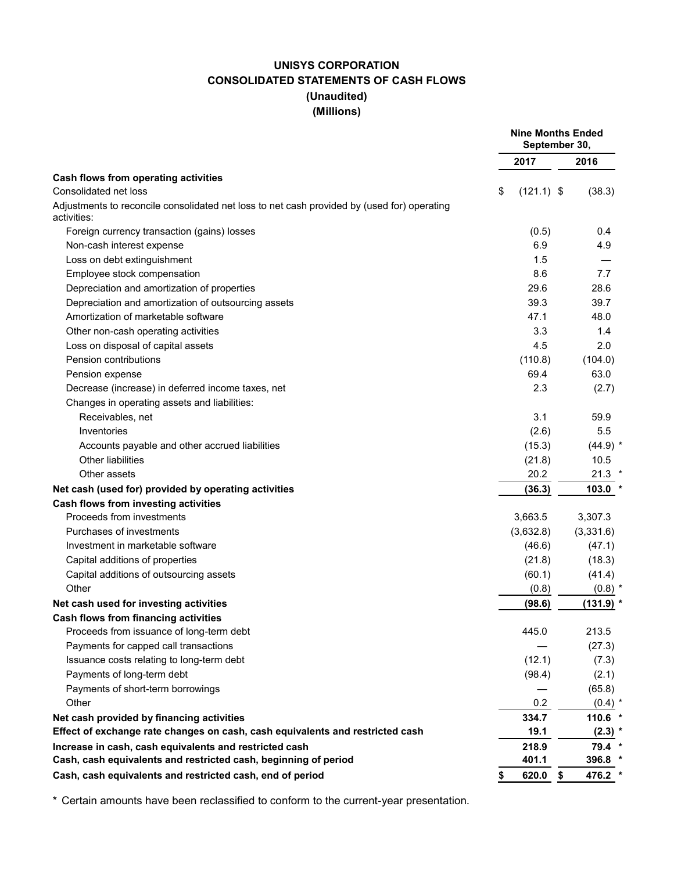## **UNISYS CORPORATION CONSOLIDATED STATEMENTS OF CASH FLOWS (Unaudited) (Millions)**

|                                                                                                                            |                    | <b>Nine Months Ended</b><br>September 30, |
|----------------------------------------------------------------------------------------------------------------------------|--------------------|-------------------------------------------|
|                                                                                                                            | 2017               | 2016                                      |
| Cash flows from operating activities                                                                                       |                    |                                           |
| Consolidated net loss                                                                                                      | \$<br>$(121.1)$ \$ | (38.3)                                    |
| Adjustments to reconcile consolidated net loss to net cash provided by (used for) operating<br>activities:                 |                    |                                           |
| Foreign currency transaction (gains) losses                                                                                | (0.5)              | 0.4                                       |
| Non-cash interest expense                                                                                                  | 6.9                | 4.9                                       |
| Loss on debt extinguishment                                                                                                | 1.5                |                                           |
| Employee stock compensation                                                                                                | 8.6                | 7.7                                       |
| Depreciation and amortization of properties                                                                                | 29.6               | 28.6                                      |
| Depreciation and amortization of outsourcing assets                                                                        | 39.3               | 39.7                                      |
| Amortization of marketable software                                                                                        | 47.1               | 48.0                                      |
| Other non-cash operating activities                                                                                        | 3.3                | 1.4                                       |
| Loss on disposal of capital assets                                                                                         | 4.5                | 2.0                                       |
| Pension contributions                                                                                                      | (110.8)            | (104.0)                                   |
| Pension expense                                                                                                            | 69.4               | 63.0                                      |
| Decrease (increase) in deferred income taxes, net                                                                          | 2.3                | (2.7)                                     |
| Changes in operating assets and liabilities:                                                                               |                    |                                           |
| Receivables, net                                                                                                           | 3.1                | 59.9                                      |
| Inventories                                                                                                                | (2.6)              | 5.5                                       |
| Accounts payable and other accrued liabilities                                                                             | (15.3)             | $(44.9)$ *                                |
| <b>Other liabilities</b>                                                                                                   | (21.8)             | 10.5                                      |
| Other assets                                                                                                               | 20.2               | $21.3$ *                                  |
| Net cash (used for) provided by operating activities                                                                       | (36.3)             | $103.0*$                                  |
| Cash flows from investing activities                                                                                       |                    |                                           |
| Proceeds from investments                                                                                                  | 3,663.5            | 3,307.3                                   |
| Purchases of investments                                                                                                   | (3,632.8)          | (3,331.6)                                 |
| Investment in marketable software                                                                                          | (46.6)             | (47.1)                                    |
| Capital additions of properties                                                                                            | (21.8)             | (18.3)                                    |
| Capital additions of outsourcing assets                                                                                    | (60.1)             | (41.4)                                    |
| Other                                                                                                                      | (0.8)              | $(0.8)$ *                                 |
| Net cash used for investing activities                                                                                     | (98.6)             | (131.9)                                   |
| Cash flows from financing activities                                                                                       |                    |                                           |
| Proceeds from issuance of long-term debt                                                                                   | 445.0              | 213.5                                     |
| Payments for capped call transactions                                                                                      |                    | (27.3)                                    |
| Issuance costs relating to long-term debt                                                                                  | (12.1)             | (7.3)                                     |
| Payments of long-term debt                                                                                                 | (98.4)             | (2.1)                                     |
| Payments of short-term borrowings                                                                                          |                    | (65.8)                                    |
| Other                                                                                                                      | 0.2                | $(0.4)$ *                                 |
|                                                                                                                            |                    |                                           |
| Net cash provided by financing activities<br>Effect of exchange rate changes on cash, cash equivalents and restricted cash | 334.7<br>19.1      | 110.6 *<br>$(2.3)$ *                      |
|                                                                                                                            |                    |                                           |
| Increase in cash, cash equivalents and restricted cash<br>Cash, cash equivalents and restricted cash, beginning of period  | 218.9<br>401.1     | 79.4 *<br>396.8 *                         |
|                                                                                                                            |                    |                                           |
| Cash, cash equivalents and restricted cash, end of period                                                                  | 620.0              | 476.2<br>\$                               |

\* Certain amounts have been reclassified to conform to the current-year presentation.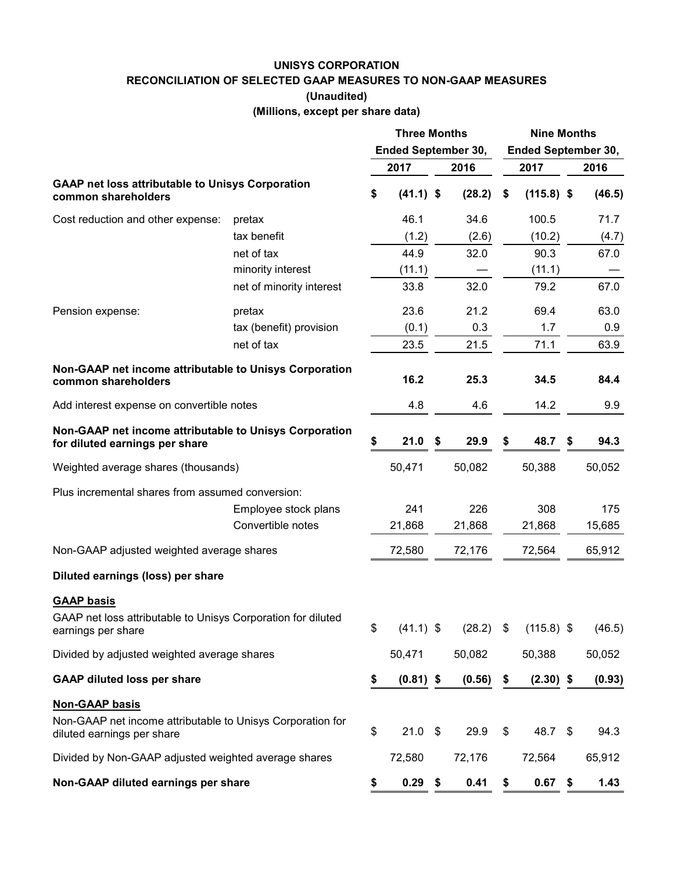#### **UNISYS CORPORATION**

**RECONCILIATION OF SELECTED GAAP MEASURES TO NON-GAAP MEASURES**

**(Unaudited)**

**(Millions, except per share data)**

|                                                                                          |                          | <b>Three Months</b><br><b>Ended September 30,</b> |             |      |        |    | <b>Nine Months</b> |      | <b>Ended September 30,</b> |  |
|------------------------------------------------------------------------------------------|--------------------------|---------------------------------------------------|-------------|------|--------|----|--------------------|------|----------------------------|--|
|                                                                                          |                          |                                                   | 2017        |      | 2016   |    | 2017               |      | 2016                       |  |
| <b>GAAP net loss attributable to Unisys Corporation</b><br>common shareholders           |                          | \$                                                | $(41.1)$ \$ |      | (28.2) | \$ | $(115.8)$ \$       |      | (46.5)                     |  |
| Cost reduction and other expense:                                                        | pretax                   |                                                   | 46.1        |      | 34.6   |    | 100.5              |      | 71.7                       |  |
|                                                                                          | tax benefit              |                                                   | (1.2)       |      | (2.6)  |    | (10.2)             |      | (4.7)                      |  |
|                                                                                          | net of tax               |                                                   | 44.9        |      | 32.0   |    | 90.3               |      | 67.0                       |  |
|                                                                                          | minority interest        |                                                   | (11.1)      |      |        |    | (11.1)             |      |                            |  |
|                                                                                          | net of minority interest |                                                   | 33.8        |      | 32.0   |    | 79.2               |      | 67.0                       |  |
| Pension expense:                                                                         | pretax                   |                                                   | 23.6        |      | 21.2   |    | 69.4               |      | 63.0                       |  |
|                                                                                          | tax (benefit) provision  |                                                   | (0.1)       |      | 0.3    |    | 1.7                |      | 0.9                        |  |
|                                                                                          | net of tax               |                                                   | 23.5        |      | 21.5   |    | 71.1               |      | 63.9                       |  |
| Non-GAAP net income attributable to Unisys Corporation<br>common shareholders            |                          |                                                   | 16.2        |      | 25.3   |    | 34.5               |      | 84.4                       |  |
| Add interest expense on convertible notes                                                |                          |                                                   | 4.8         |      | 4.6    |    | 14.2               |      | 9.9                        |  |
| Non-GAAP net income attributable to Unisys Corporation<br>for diluted earnings per share |                          | \$                                                | 21.0        | - \$ | 29.9   | S  | 48.7               | \$   | 94.3                       |  |
| Weighted average shares (thousands)                                                      |                          |                                                   | 50,471      |      | 50,082 |    | 50,388             |      | 50,052                     |  |
| Plus incremental shares from assumed conversion:                                         |                          |                                                   |             |      |        |    |                    |      |                            |  |
|                                                                                          | Employee stock plans     |                                                   | 241         |      | 226    |    | 308                |      | 175                        |  |
|                                                                                          | Convertible notes        |                                                   | 21,868      |      | 21,868 |    | 21,868             |      | 15,685                     |  |
| Non-GAAP adjusted weighted average shares                                                |                          |                                                   | 72,580      |      | 72,176 |    | 72,564             |      | 65,912                     |  |
| Diluted earnings (loss) per share                                                        |                          |                                                   |             |      |        |    |                    |      |                            |  |
| <b>GAAP basis</b>                                                                        |                          |                                                   |             |      |        |    |                    |      |                            |  |
| GAAP net loss attributable to Unisys Corporation for diluted<br>earnings per share       |                          | \$                                                | $(41.1)$ \$ |      | (28.2) | \$ | $(115.8)$ \$       |      | (46.5)                     |  |
| Divided by adjusted weighted average shares                                              |                          |                                                   | 50,471      |      | 50,082 |    | 50,388             |      | 50,052                     |  |
| <b>GAAP diluted loss per share</b>                                                       |                          | \$                                                | $(0.81)$ \$ |      | (0.56) | \$ | $(2.30)$ \$        |      | (0.93)                     |  |
| <b>Non-GAAP basis</b>                                                                    |                          |                                                   |             |      |        |    |                    |      |                            |  |
| Non-GAAP net income attributable to Unisys Corporation for<br>diluted earnings per share |                          | \$                                                | $21.0$ \$   |      | 29.9   | \$ | 48.7               | - \$ | 94.3                       |  |
| Divided by Non-GAAP adjusted weighted average shares                                     |                          |                                                   | 72,580      |      | 72,176 |    | 72,564             |      | 65,912                     |  |
| Non-GAAP diluted earnings per share                                                      |                          | \$                                                | $0.29$ \$   |      | 0.41   | \$ | 0.67               | \$   | 1.43                       |  |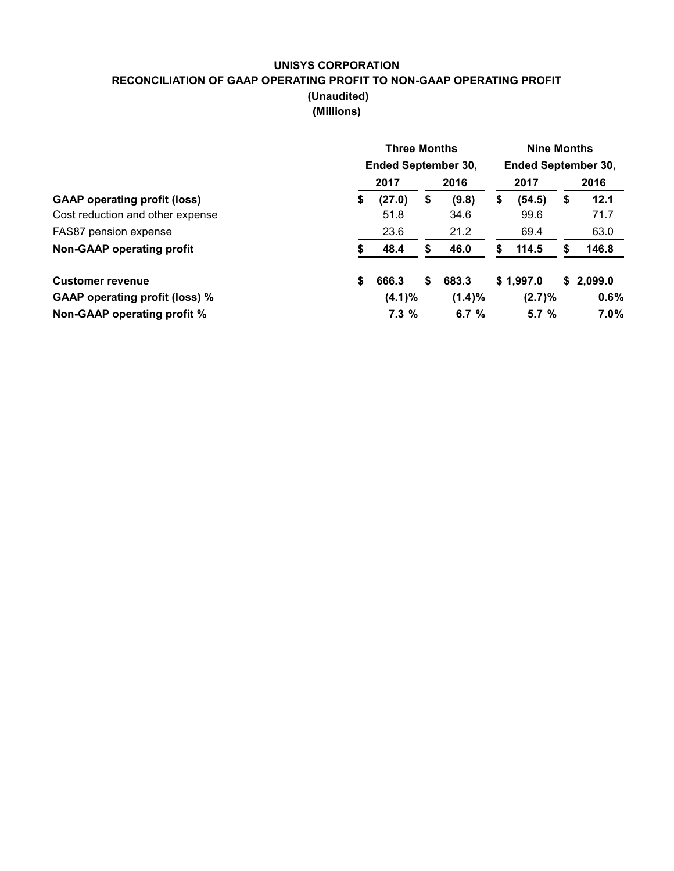## **UNISYS CORPORATION RECONCILIATION OF GAAP OPERATING PROFIT TO NON-GAAP OPERATING PROFIT (Unaudited) (Millions)**

|                                       | <b>Three Months</b><br><b>Ended September 30,</b> |    |           |    |           | <b>Nine Months</b><br><b>Ended September 30,</b> |           |  |  |
|---------------------------------------|---------------------------------------------------|----|-----------|----|-----------|--------------------------------------------------|-----------|--|--|
|                                       | 2017                                              |    | 2016      |    | 2017      |                                                  | 2016      |  |  |
| <b>GAAP</b> operating profit (loss)   | \$<br>(27.0)                                      | \$ | (9.8)     | \$ | (54.5)    | \$                                               | 12.1      |  |  |
| Cost reduction and other expense      | 51.8                                              |    | 34.6      |    | 99.6      |                                                  | 71.7      |  |  |
| FAS87 pension expense                 | 23.6                                              |    | 21.2      |    | 69.4      |                                                  | 63.0      |  |  |
| Non-GAAP operating profit             | 48.4                                              | S  | 46.0      | S  | 114.5     |                                                  | 146.8     |  |  |
| <b>Customer revenue</b>               | \$<br>666.3                                       | \$ | 683.3     |    | \$1,997.0 |                                                  | \$2,099.0 |  |  |
| <b>GAAP operating profit (loss) %</b> | (4.1)%                                            |    | $(1.4)\%$ |    | (2.7)%    |                                                  | 0.6%      |  |  |
| Non-GAAP operating profit %           | 7.3%                                              |    | 6.7 $%$   |    | 5.7%      |                                                  | $7.0\%$   |  |  |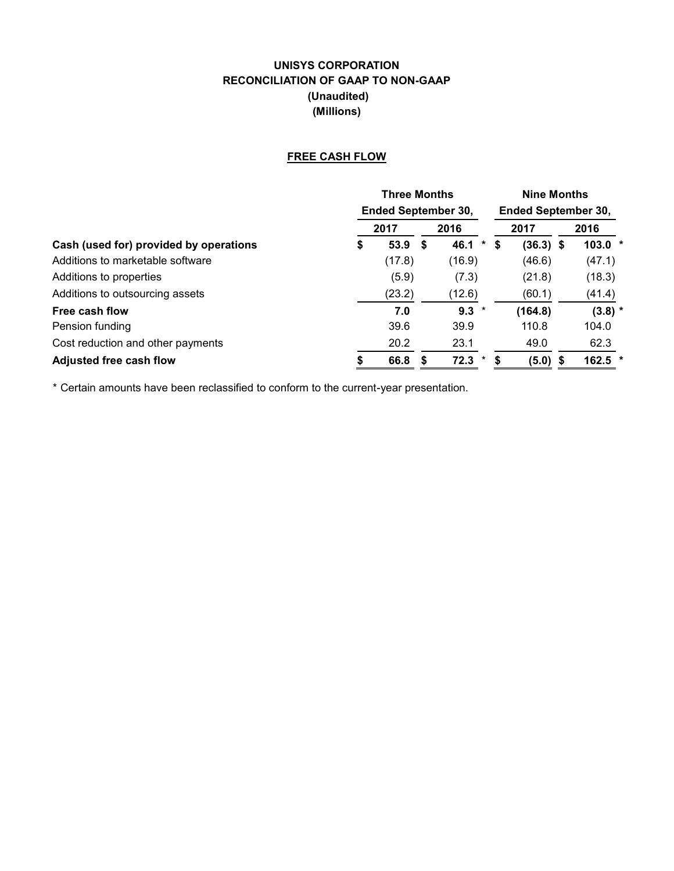## **UNISYS CORPORATION RECONCILIATION OF GAAP TO NON-GAAP (Unaudited) (Millions)**

## **FREE CASH FLOW**

|                                        |    | <b>Three Months</b><br><b>Ended September 30,</b> |  |           |   |             |  | <b>Nine Months</b>         |  |  |  |
|----------------------------------------|----|---------------------------------------------------|--|-----------|---|-------------|--|----------------------------|--|--|--|
|                                        |    |                                                   |  |           |   |             |  | <b>Ended September 30,</b> |  |  |  |
|                                        |    | 2017                                              |  | 2016      |   | 2017        |  | 2016                       |  |  |  |
| Cash (used for) provided by operations | \$ | 53.9 <sup>5</sup>                                 |  | 46.1<br>* | S | $(36.3)$ \$ |  | $103.0*$                   |  |  |  |
| Additions to marketable software       |    | (17.8)                                            |  | (16.9)    |   | (46.6)      |  | (47.1)                     |  |  |  |
| Additions to properties                |    | (5.9)                                             |  | (7.3)     |   | (21.8)      |  | (18.3)                     |  |  |  |
| Additions to outsourcing assets        |    | (23.2)                                            |  | (12.6)    |   | (60.1)      |  | (41.4)                     |  |  |  |
| Free cash flow                         |    | 7.0                                               |  | $9.3 *$   |   | (164.8)     |  | $(3.8)$ *                  |  |  |  |
| Pension funding                        |    | 39.6                                              |  | 39.9      |   | 110.8       |  | 104.0                      |  |  |  |
| Cost reduction and other payments      |    | 20.2                                              |  | 23.1      |   | 49.0        |  | 62.3                       |  |  |  |
| <b>Adjusted free cash flow</b>         |    | 66.8                                              |  | 72.3<br>* |   | $(5.0)$ \$  |  | 162.5                      |  |  |  |

\* Certain amounts have been reclassified to conform to the current-year presentation.